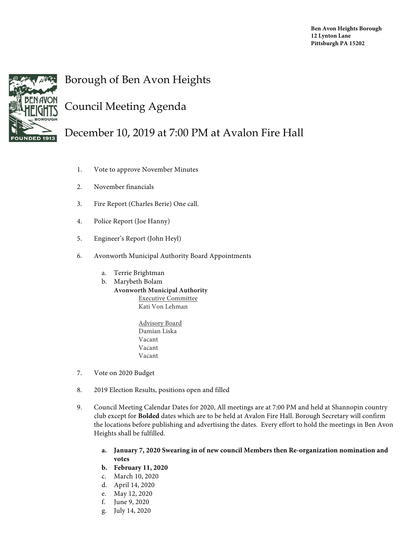

## Borough of Ben Avon Heights

## Council Meeting Agenda

December 10, 2019 at 7:00 PM at Avalon Fire Hall

- 1. Vote to approve November Minutes
- 2. November financials
- 3. Fire Report (Charles Berie) One call.
- 4. Police Report (Joe Hanny)
- 5. Engineer's Report (John Heyl)
- 6. Avonworth Municipal Authority Board Appointments
	- a. Terrie Brightman
	- b. Marybeth Bolam
		- **Avonworth Municipal Authority** Executive Committee Kati Von Lehman
			- Advisory Board Damian Liska Vacant Vacant Vacant
- 7. Vote on 2020 Budget
- 8. 2019 Election Results, positions open and filled
- 9. Council Meeting Calendar Dates for 2020, All meetings are at 7:00 PM and held at Shannopin country club except for **Bolded** dates which are to be held at Avalon Fire Hall. Borough Secretary will confirm the locations before publishing and advertising the dates. Every effort to hold the meetings in Ben Avon Heights shall be fulfilled.
	- **a. January 7, 2020 Swearing in of new council Members then Re-organization nomination and votes**
	- **b. February 11, 2020**
	- c. March 10, 2020
	- d. April 14, 2020
	- e. May 12, 2020
	- f. June 9, 2020
	- g. July 14, 2020